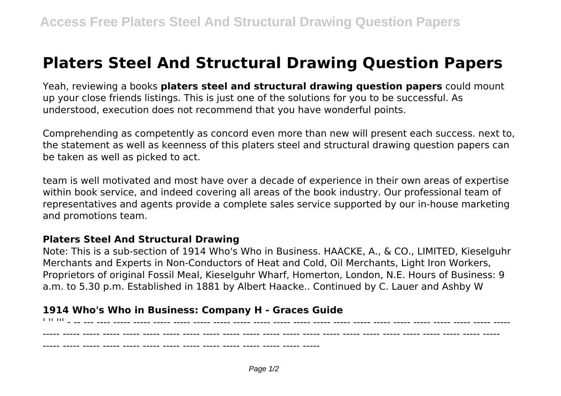## **Platers Steel And Structural Drawing Question Papers**

Yeah, reviewing a books **platers steel and structural drawing question papers** could mount up your close friends listings. This is just one of the solutions for you to be successful. As understood, execution does not recommend that you have wonderful points.

Comprehending as competently as concord even more than new will present each success. next to, the statement as well as keenness of this platers steel and structural drawing question papers can be taken as well as picked to act.

team is well motivated and most have over a decade of experience in their own areas of expertise within book service, and indeed covering all areas of the book industry. Our professional team of representatives and agents provide a complete sales service supported by our in-house marketing and promotions team.

## **Platers Steel And Structural Drawing**

Note: This is a sub-section of 1914 Who's Who in Business. HAACKE, A., & CO., LIMITED, Kieselguhr Merchants and Experts in Non-Conductors of Heat and Cold, Oil Merchants, Light Iron Workers, Proprietors of original Fossil Meal, Kieselguhr Wharf, Homerton, London, N.E. Hours of Business: 9 a.m. to 5.30 p.m. Established in 1881 by Albert Haacke.. Continued by C. Lauer and Ashby W

## **1914 Who's Who in Business: Company H - Graces Guide**

 $\blacksquare$  . The final contract of the contract of the contract of the contract of the contract of the contract of the contract of the contract of the contract of the contract of the contract of the contract of the contract o ----- ----- ----- ----- ----- ----- ----- ----- ----- ----- ----- ----- ----- ----- ----- ----- ----- ----- ----- ----- ----- ----- ----- ----- ----- ----- ----- ----- ----- ----- ----- ----- ----- ----- ----- ----- -----